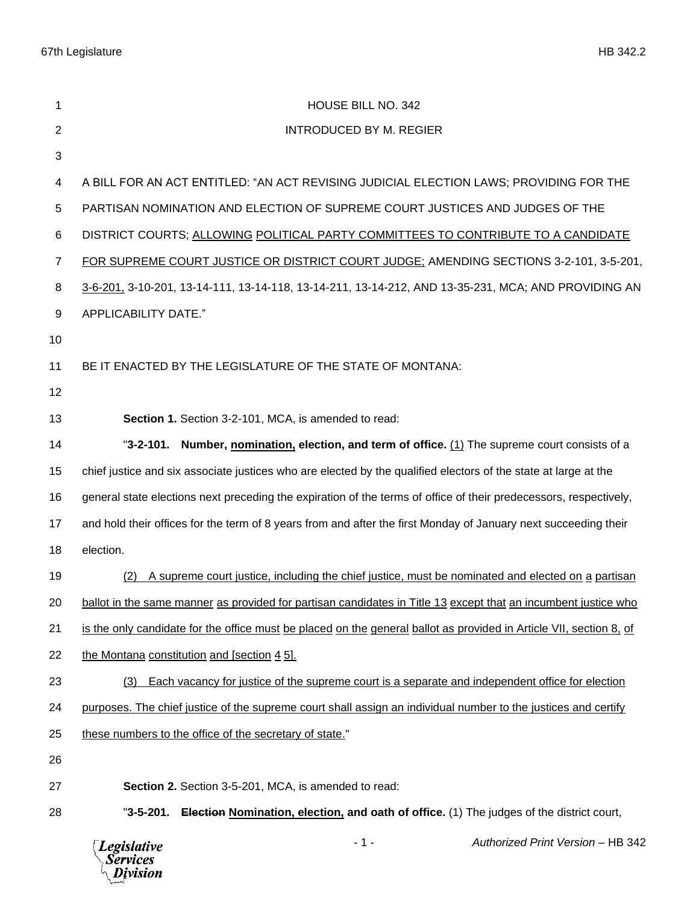| 1  | HOUSE BILL NO. 342                                                                                                  |
|----|---------------------------------------------------------------------------------------------------------------------|
| 2  | <b>INTRODUCED BY M. REGIER</b>                                                                                      |
| 3  |                                                                                                                     |
| 4  | A BILL FOR AN ACT ENTITLED: "AN ACT REVISING JUDICIAL ELECTION LAWS; PROVIDING FOR THE                              |
| 5  | PARTISAN NOMINATION AND ELECTION OF SUPREME COURT JUSTICES AND JUDGES OF THE                                        |
| 6  | DISTRICT COURTS; ALLOWING POLITICAL PARTY COMMITTEES TO CONTRIBUTE TO A CANDIDATE                                   |
| 7  | FOR SUPREME COURT JUSTICE OR DISTRICT COURT JUDGE: AMENDING SECTIONS 3-2-101, 3-5-201,                              |
| 8  | 3-6-201, 3-10-201, 13-14-111, 13-14-118, 13-14-211, 13-14-212, AND 13-35-231, MCA; AND PROVIDING AN                 |
| 9  | APPLICABILITY DATE."                                                                                                |
| 10 |                                                                                                                     |
| 11 | BE IT ENACTED BY THE LEGISLATURE OF THE STATE OF MONTANA:                                                           |
| 12 |                                                                                                                     |
| 13 | Section 1. Section 3-2-101, MCA, is amended to read:                                                                |
| 14 | "3-2-101. Number, nomination, election, and term of office. (1) The supreme court consists of a                     |
| 15 | chief justice and six associate justices who are elected by the qualified electors of the state at large at the     |
| 16 | general state elections next preceding the expiration of the terms of office of their predecessors, respectively,   |
| 17 | and hold their offices for the term of 8 years from and after the first Monday of January next succeeding their     |
| 18 | election.                                                                                                           |
| 19 | A supreme court justice, including the chief justice, must be nominated and elected on a partisan                   |
| 20 | ballot in the same manner as provided for partisan candidates in Title 13 except that an incumbent justice who      |
| 21 | is the only candidate for the office must be placed on the general ballot as provided in Article VII, section 8, of |
| 22 | the Montana constitution and [section 4 5].                                                                         |
| 23 | Each vacancy for justice of the supreme court is a separate and independent office for election<br>(3)              |
| 24 | purposes. The chief justice of the supreme court shall assign an individual number to the justices and certify      |
| 25 | these numbers to the office of the secretary of state."                                                             |
| 26 |                                                                                                                     |
| 27 | Section 2. Section 3-5-201, MCA, is amended to read:                                                                |
| 28 | <b>Election Nomination, election, and oath of office.</b> (1) The judges of the district court,<br>"3-5-201.        |

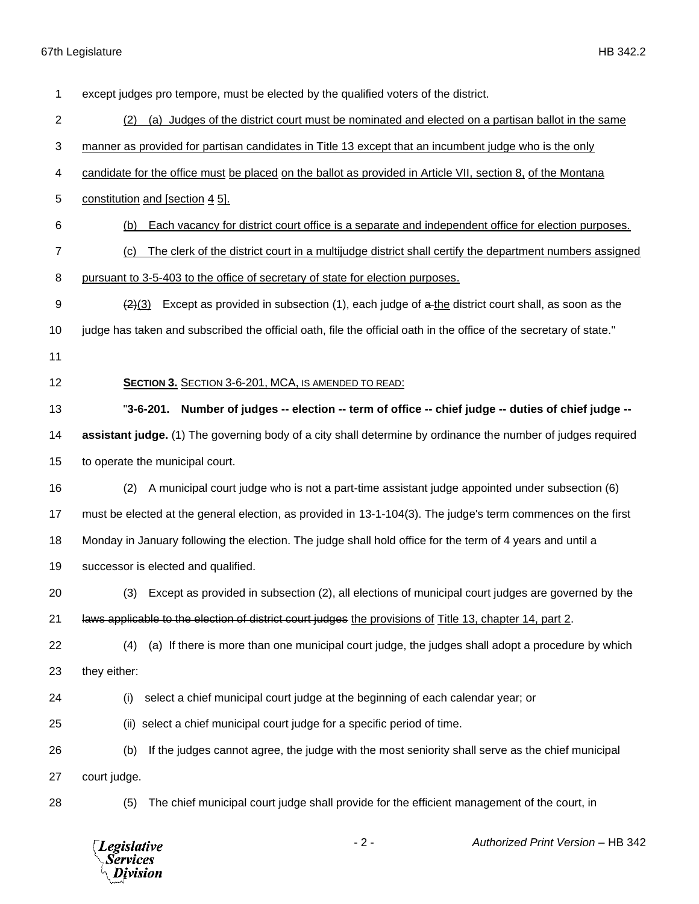## 67th Legislature HB 342.2

| 1              | except judges pro tempore, must be elected by the qualified voters of the district.                                |
|----------------|--------------------------------------------------------------------------------------------------------------------|
| $\overline{c}$ | (a) Judges of the district court must be nominated and elected on a partisan ballot in the same<br>(2)             |
| 3              | manner as provided for partisan candidates in Title 13 except that an incumbent judge who is the only              |
| 4              | candidate for the office must be placed on the ballot as provided in Article VII, section 8, of the Montana        |
| 5              | constitution and [section 4 5].                                                                                    |
| 6              | Each vacancy for district court office is a separate and independent office for election purposes.<br>(b)          |
| 7              | The clerk of the district court in a multijudge district shall certify the department numbers assigned<br>(c)      |
| 8              | pursuant to 3-5-403 to the office of secretary of state for election purposes.                                     |
| 9              | Except as provided in subsection (1), each judge of a-the district court shall, as soon as the<br>(2)(3)           |
| 10             | judge has taken and subscribed the official oath, file the official oath in the office of the secretary of state." |
| 11             |                                                                                                                    |
| 12             | <b>SECTION 3. SECTION 3-6-201, MCA, IS AMENDED TO READ:</b>                                                        |
| 13             | Number of judges -- election -- term of office -- chief judge -- duties of chief judge --<br>"3-6-201.             |
| 14             | assistant judge. (1) The governing body of a city shall determine by ordinance the number of judges required       |
| 15             | to operate the municipal court.                                                                                    |
| 16             | A municipal court judge who is not a part-time assistant judge appointed under subsection (6)<br>(2)               |
| 17             | must be elected at the general election, as provided in 13-1-104(3). The judge's term commences on the first       |
| 18             | Monday in January following the election. The judge shall hold office for the term of 4 years and until a          |
| 19             | successor is elected and qualified.                                                                                |
| 20             | (3) Except as provided in subsection (2), all elections of municipal court judges are governed by the              |
| 21             | laws applicable to the election of district court judges the provisions of Title 13, chapter 14, part 2.           |
| 22             | (a) If there is more than one municipal court judge, the judges shall adopt a procedure by which<br>(4)            |
| 23             | they either:                                                                                                       |
| 24             | select a chief municipal court judge at the beginning of each calendar year; or<br>(i)                             |
| 25             | select a chief municipal court judge for a specific period of time.<br>(ii)                                        |
| 26             | If the judges cannot agree, the judge with the most seniority shall serve as the chief municipal<br>(b)            |
| 27             | court judge.                                                                                                       |
| 28             | The chief municipal court judge shall provide for the efficient management of the court, in<br>(5)                 |
|                |                                                                                                                    |

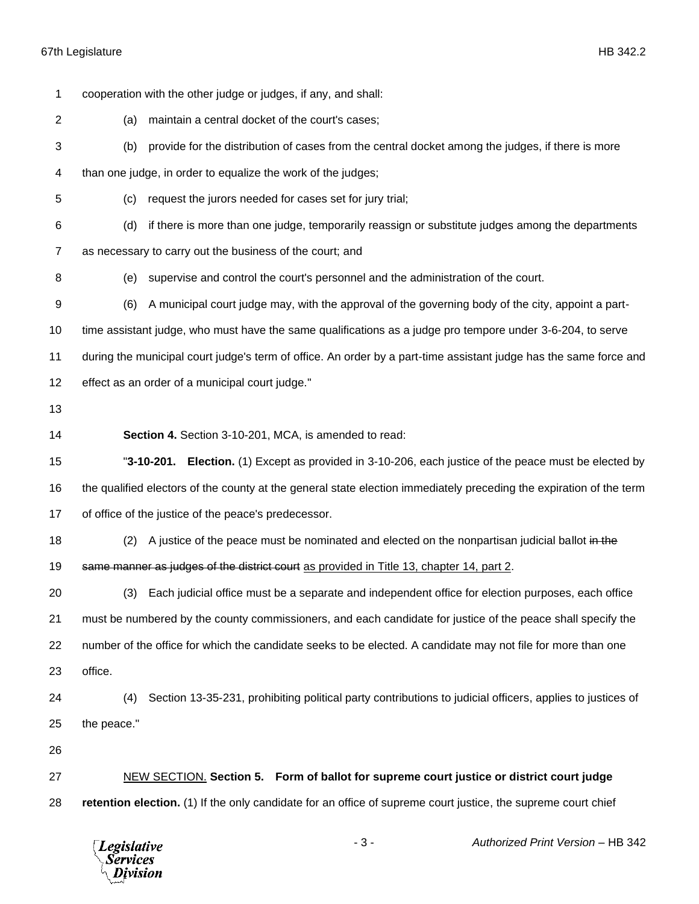cooperation with the other judge or judges, if any, and shall: (a) maintain a central docket of the court's cases; (b) provide for the distribution of cases from the central docket among the judges, if there is more than one judge, in order to equalize the work of the judges; (c) request the jurors needed for cases set for jury trial; (d) if there is more than one judge, temporarily reassign or substitute judges among the departments as necessary to carry out the business of the court; and (e) supervise and control the court's personnel and the administration of the court. (6) A municipal court judge may, with the approval of the governing body of the city, appoint a part- time assistant judge, who must have the same qualifications as a judge pro tempore under 3-6-204, to serve during the municipal court judge's term of office. An order by a part-time assistant judge has the same force and effect as an order of a municipal court judge." **Section 4.** Section 3-10-201, MCA, is amended to read: "**3-10-201. Election.** (1) Except as provided in 3-10-206, each justice of the peace must be elected by the qualified electors of the county at the general state election immediately preceding the expiration of the term of office of the justice of the peace's predecessor. 18 (2) A justice of the peace must be nominated and elected on the nonpartisan judicial ballot in the 19 same manner as judges of the district court as provided in Title 13, chapter 14, part 2. (3) Each judicial office must be a separate and independent office for election purposes, each office must be numbered by the county commissioners, and each candidate for justice of the peace shall specify the number of the office for which the candidate seeks to be elected. A candidate may not file for more than one office. (4) Section 13-35-231, prohibiting political party contributions to judicial officers, applies to justices of the peace." NEW SECTION. **Section 5. Form of ballot for supreme court justice or district court judge retention election.** (1) If the only candidate for an office of supreme court justice, the supreme court chief

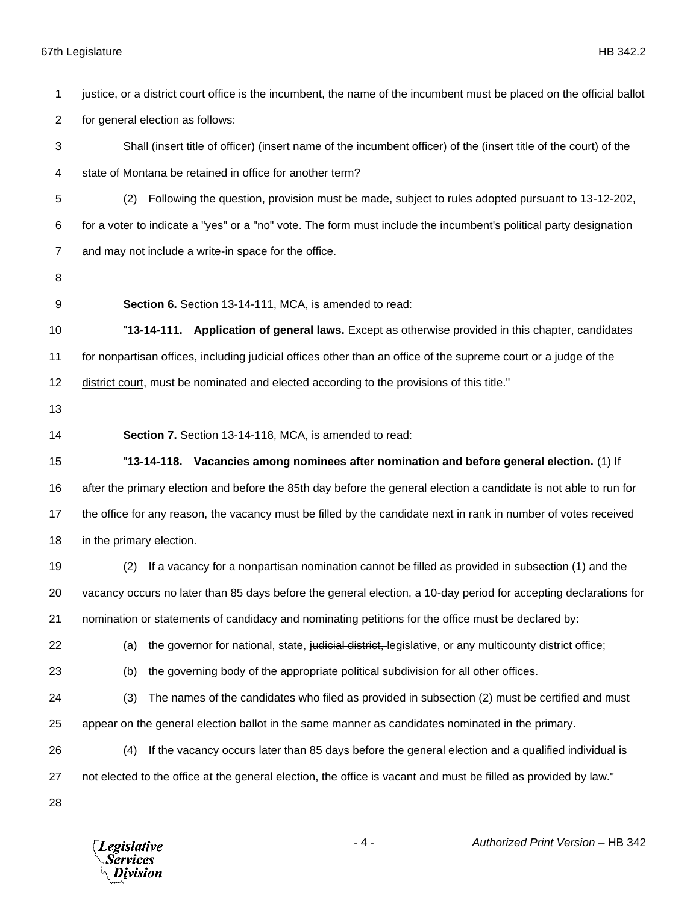## 67th Legislature HB 342.2

 justice, or a district court office is the incumbent, the name of the incumbent must be placed on the official ballot for general election as follows: Shall (insert title of officer) (insert name of the incumbent officer) of the (insert title of the court) of the state of Montana be retained in office for another term? (2) Following the question, provision must be made, subject to rules adopted pursuant to 13-12-202, for a voter to indicate a "yes" or a "no" vote. The form must include the incumbent's political party designation and may not include a write-in space for the office. **Section 6.** Section 13-14-111, MCA, is amended to read: "**13-14-111. Application of general laws.** Except as otherwise provided in this chapter, candidates for nonpartisan offices, including judicial offices other than an office of the supreme court or a judge of the district court, must be nominated and elected according to the provisions of this title." **Section 7.** Section 13-14-118, MCA, is amended to read: "**13-14-118. Vacancies among nominees after nomination and before general election.** (1) If after the primary election and before the 85th day before the general election a candidate is not able to run for the office for any reason, the vacancy must be filled by the candidate next in rank in number of votes received in the primary election. (2) If a vacancy for a nonpartisan nomination cannot be filled as provided in subsection (1) and the vacancy occurs no later than 85 days before the general election, a 10-day period for accepting declarations for nomination or statements of candidacy and nominating petitions for the office must be declared by: 22 (a) the governor for national, state, judicial district, legislative, or any multicounty district office; (b) the governing body of the appropriate political subdivision for all other offices. (3) The names of the candidates who filed as provided in subsection (2) must be certified and must appear on the general election ballot in the same manner as candidates nominated in the primary. (4) If the vacancy occurs later than 85 days before the general election and a qualified individual is not elected to the office at the general election, the office is vacant and must be filled as provided by law." 

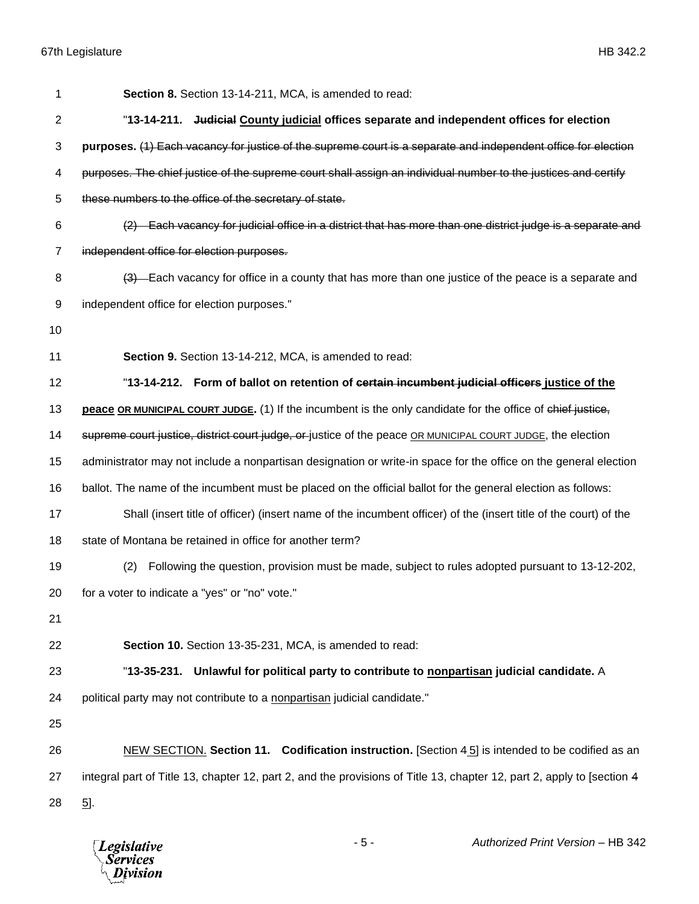| 1              | Section 8. Section 13-14-211, MCA, is amended to read:                                                                 |
|----------------|------------------------------------------------------------------------------------------------------------------------|
| $\overline{2}$ | "13-14-211. Judicial County judicial offices separate and independent offices for election                             |
| 3              | purposes. (1) Each vacancy for justice of the supreme court is a separate and independent office for election          |
| 4              | purposes. The chief justice of the supreme court shall assign an individual number to the justices and certify         |
| 5              | these numbers to the office of the secretary of state.                                                                 |
| 6              | Each vacancy for judicial office in a district that has more than one district judge is a separate and                 |
| $\overline{7}$ | independent office for election purposes.                                                                              |
| 8              | (3) Each vacancy for office in a county that has more than one justice of the peace is a separate and                  |
| 9              | independent office for election purposes."                                                                             |
| 10             |                                                                                                                        |
| 11             | Section 9. Section 13-14-212, MCA, is amended to read:                                                                 |
| 12             | "13-14-212. Form of ballot on retention of certain incumbent judicial officers justice of the                          |
| 13             | peace OR MUNICIPAL COURT JUDGE. (1) If the incumbent is the only candidate for the office of chief justice,            |
| 14             | supreme court justice, district court judge, or justice of the peace OR MUNICIPAL COURT JUDGE, the election            |
| 15             | administrator may not include a nonpartisan designation or write-in space for the office on the general election       |
| 16             | ballot. The name of the incumbent must be placed on the official ballot for the general election as follows:           |
| 17             | Shall (insert title of officer) (insert name of the incumbent officer) of the (insert title of the court) of the       |
| 18             | state of Montana be retained in office for another term?                                                               |
| 19             | Following the question, provision must be made, subject to rules adopted pursuant to 13-12-202,<br>(2)                 |
| 20             | for a voter to indicate a "yes" or "no" vote."                                                                         |
| 21             |                                                                                                                        |
| 22             | Section 10. Section 13-35-231, MCA, is amended to read:                                                                |
| 23             | Unlawful for political party to contribute to nonpartisan judicial candidate. A<br>"13-35-231.                         |
| 24             | political party may not contribute to a nonpartisan judicial candidate."                                               |
| 25             |                                                                                                                        |
| 26             | NEW SECTION. Section 11. Codification instruction. [Section $4\overline{5}$ ] is intended to be codified as an         |
| 27             | integral part of Title 13, chapter 12, part 2, and the provisions of Title 13, chapter 12, part 2, apply to [section 4 |
| 28             | $\overline{5}$ .                                                                                                       |